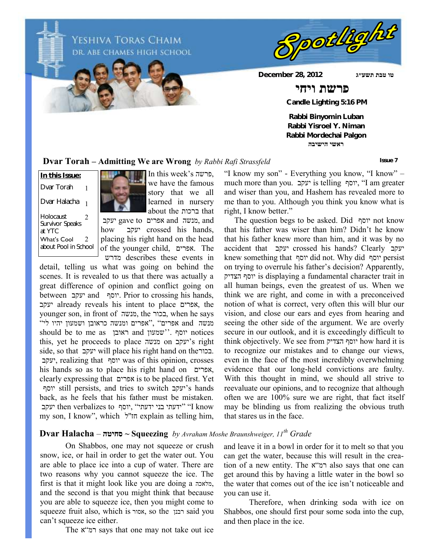Yeshiva Toras Chaim DR. ABE CHAMES HIGH SCHOOL



**טו טבת תשע״ג 2012 28, December**

### **פרשת ויחי**

 **Candle Lighting 5:16 PM**

**Rabbi Binyomin Luban Rabbi Yisroel Y. Niman Rabbi Mordechai Palgon ראשי הישיבה**

#### **Dvar Torah – Admitting We are Wrong** *by Rabbi Rafi Strassfeld*

Holocaust Survivor Speaks at YTC **In this Issue:** Dvar Torah Dvar Halacha 2 1 1 What's Cool about Pool in School 2



In this week's פרשה, we have the famous story that we all learned in nursery about the ברכות that

 יעקב gave to אפרים and מנשה, and how יעקב crossed his hands, placing his right hand on the head of the younger child, אפרים. The מדרש describes these events in

detail, telling us what was going on behind the scenes. It is revealed to us that there was actually a great difference of opinion and conflict going on between יעקב and יוסף. Prior to crossing his hands, יעקב already reveals his intent to place אפרים, the younger son, in front of מנשה, the בכור, when he says מנשה and אפרים" ,"אפרים ומנשה כראובן ושמעון יהיו לי" should be to me as ראובן and שמעון''. יוסף notices this, yet he proceeds to place מנשה on יעקב's right side, so that יעקב will place his right hand on theבכור. יעקב, realizing that יוסף was of this opinion, crosses his hands so as to place his right hand on אפרים, clearly expressing that אפרים is to be placed first. Yet יוסף still persists, and tries to switch יעקב's hands back, as he feels that his father must be mistaken. יעקב then verbalizes to יוסף "ידעתי בני ידעתי" (I know my son, I know", which לחז"ל explain as telling him,

"I know my son" - Everything you know, "I know" – much more than you. יעקב is telling יוסף," I am greater and wiser than you, and Hashem has revealed more to me than to you. Although you think you know what is right, I know better."

 The question begs to be asked. Did יוסף not know that his father was wiser than him? Didn't he know that his father knew more than him, and it was by no accident that יעקב crossed his hands? Clearly יעקב knew something that יוסף did not. Why did יוסף persist on trying to overrule his father's decision? Apparently, הצדיק יוסף is displaying a fundamental character trait in all human beings, even the greatest of us. When we think we are right, and come in with a preconceived notion of what is correct, very often this will blur our vision, and close our ears and eyes from hearing and seeing the other side of the argument. We are overly secure in our outlook, and it is exceedingly difficult to think objectively. We see from הצדיק יוסף how hard it is to recognize our mistakes and to change our views, even in the face of the most incredibly overwhelming evidence that our long-held convictions are faulty. With this thought in mind, we should all strive to reevaluate our opinions, and to recognize that although often we are 100% sure we are right, that fact itself may be blinding us from realizing the obvious truth that stares us in the face.

#### **Dvar Halacha** – **סחיטה ~ Squeezing** *by Avraham Moshe Braunshweiger, 11th Grade*

On Shabbos, one may not squeeze or crush snow, ice, or hail in order to get the water out. You are able to place ice into a cup of water. There are two reasons why you cannot squeeze the ice. The first is that it might look like you are doing a מלאכה, and the second is that you might think that because you are able to squeeze ice, then you might come to squeeze fruit also, which is אסור, so the רבנן said you can't squeeze ice either.

The א"רמ says that one may not take out ice

and leave it in a bowl in order for it to melt so that you can get the water, because this will result in the creation of a new entity. The רמ"א also says that one can get around this by having a little water in the bowl so the water that comes out of the ice isn't noticeable and you can use it.

Therefore, when drinking soda with ice on Shabbos, one should first pour some soda into the cup, and then place in the ice.

**Issue 7**